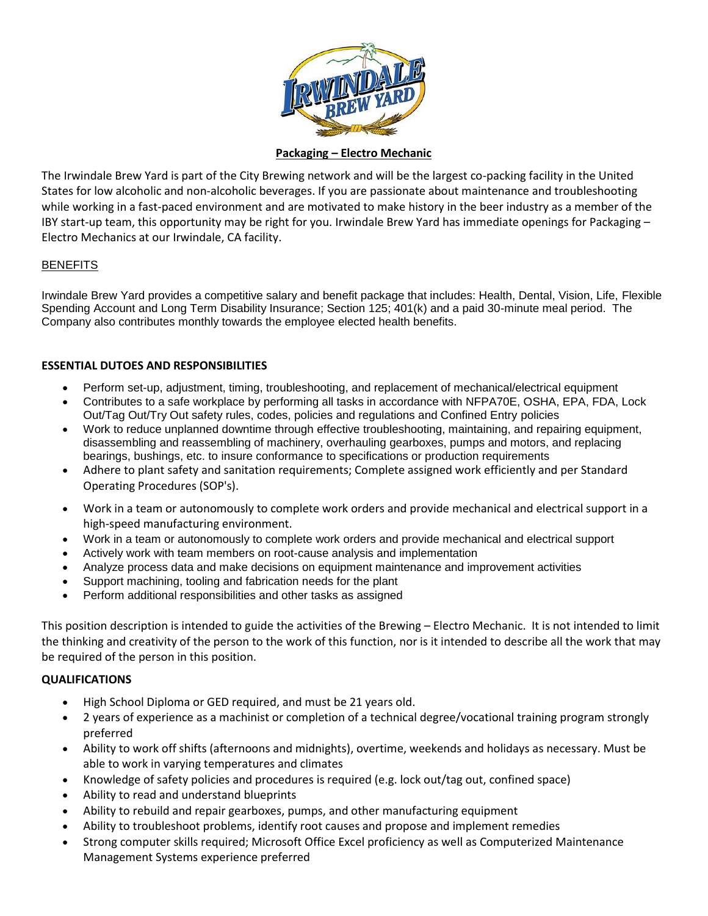

#### **Packaging – Electro Mechanic**

The Irwindale Brew Yard is part of the City Brewing network and will be the largest co-packing facility in the United States for low alcoholic and non-alcoholic beverages. If you are passionate about maintenance and troubleshooting while working in a fast-paced environment and are motivated to make history in the beer industry as a member of the IBY start-up team, this opportunity may be right for you. Irwindale Brew Yard has immediate openings for Packaging – Electro Mechanics at our Irwindale, CA facility.

#### **BENEFITS**

Irwindale Brew Yard provides a competitive salary and benefit package that includes: Health, Dental, Vision, Life, Flexible Spending Account and Long Term Disability Insurance; Section 125; 401(k) and a paid 30-minute meal period. The Company also contributes monthly towards the employee elected health benefits.

#### **ESSENTIAL DUTOES AND RESPONSIBILITIES**

- Perform set-up, adjustment, timing, troubleshooting, and replacement of mechanical/electrical equipment
- Contributes to a safe workplace by performing all tasks in accordance with NFPA70E, OSHA, EPA, FDA, Lock Out/Tag Out/Try Out safety rules, codes, policies and regulations and Confined Entry policies
- Work to reduce unplanned downtime through effective troubleshooting, maintaining, and repairing equipment, disassembling and reassembling of machinery, overhauling gearboxes, pumps and motors, and replacing bearings, bushings, etc. to insure conformance to specifications or production requirements
- Adhere to plant safety and sanitation requirements; Complete assigned work efficiently and per Standard Operating Procedures (SOP's).
- Work in a team or autonomously to complete work orders and provide mechanical and electrical support in a high-speed manufacturing environment.
- Work in a team or autonomously to complete work orders and provide mechanical and electrical support
- Actively work with team members on root-cause analysis and implementation
- Analyze process data and make decisions on equipment maintenance and improvement activities
- Support machining, tooling and fabrication needs for the plant
- Perform additional responsibilities and other tasks as assigned

This position description is intended to guide the activities of the Brewing – Electro Mechanic. It is not intended to limit the thinking and creativity of the person to the work of this function, nor is it intended to describe all the work that may be required of the person in this position.

#### **QUALIFICATIONS**

- High School Diploma or GED required, and must be 21 years old.
- 2 years of experience as a machinist or completion of a technical degree/vocational training program strongly preferred
- Ability to work off shifts (afternoons and midnights), overtime, weekends and holidays as necessary. Must be able to work in varying temperatures and climates
- Knowledge of safety policies and procedures is required (e.g. lock out/tag out, confined space)
- Ability to read and understand blueprints
- Ability to rebuild and repair gearboxes, pumps, and other manufacturing equipment
- Ability to troubleshoot problems, identify root causes and propose and implement remedies
- Strong computer skills required; Microsoft Office Excel proficiency as well as Computerized Maintenance Management Systems experience preferred